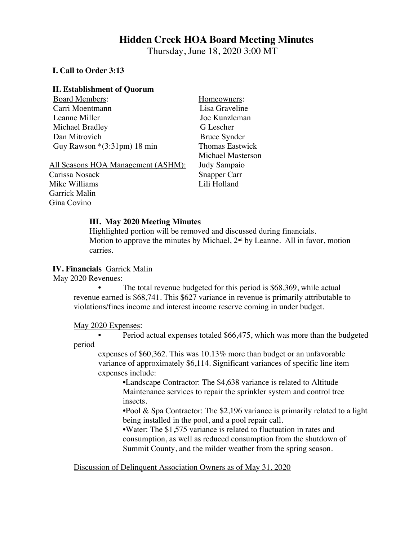# **Hidden Creek HOA Board Meeting Minutes**

Thursday, June 18, 2020 3:00 MT

#### **I. Call to Order 3:13**

#### **II. Establishment of Quorum**

| <b>Board Members:</b>                              | Homeowners:              |
|----------------------------------------------------|--------------------------|
| Carri Moentmann                                    | Lisa Graveline           |
| Leanne Miller                                      | Joe Kunzleman            |
| Michael Bradley                                    | G Lescher                |
| Dan Mitrovich                                      | <b>Bruce Synder</b>      |
| Guy Rawson $*(3:31pm)$ 18 min                      | <b>Thomas Eastwick</b>   |
|                                                    | <b>Michael Masterson</b> |
| <u> All Seasons HOA Management (ASHM):</u>         | Judy Sampaio             |
| $C_{\alpha \text{meas}}$ $N_{\alpha \text{seals}}$ | $C_{nonnon}$             |

Carissa Nosack Snapper Carr Mike Williams Lili Holland Garrick Malin Gina Covino

#### **III. May 2020 Meeting Minutes**

Highlighted portion will be removed and discussed during financials. Motion to approve the minutes by Michael,  $2<sup>nd</sup>$  by Leanne. All in favor, motion carries.

#### **IV. Financials** Garrick Malin

May 2020 Revenues:

The total revenue budgeted for this period is \$68,369, while actual revenue earned is \$68,741. This \$627 variance in revenue is primarily attributable to violations/fines income and interest income reserve coming in under budget.

#### May 2020 Expenses:

• Period actual expenses totaled \$66,475, which was more than the budgeted period

expenses of \$60,362. This was 10.13% more than budget or an unfavorable variance of approximately \$6,114. Significant variances of specific line item expenses include:

•Landscape Contractor: The \$4,638 variance is related to Altitude Maintenance services to repair the sprinkler system and control tree insects.

•Pool & Spa Contractor: The \$2,196 variance is primarily related to a light being installed in the pool, and a pool repair call.

•Water: The \$1,575 variance is related to fluctuation in rates and consumption, as well as reduced consumption from the shutdown of Summit County, and the milder weather from the spring season.

Discussion of Delinquent Association Owners as of May 31, 2020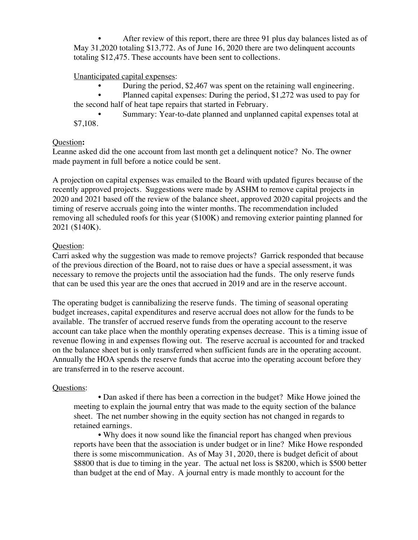After review of this report, there are three 91 plus day balances listed as of May 31,2020 totaling \$13,772. As of June 16, 2020 there are two delinquent accounts totaling \$12,475. These accounts have been sent to collections.

Unanticipated capital expenses:

• During the period, \$2,467 was spent on the retaining wall engineering.

• Planned capital expenses: During the period, \$1,272 was used to pay for the second half of heat tape repairs that started in February.

Summary: Year-to-date planned and unplanned capital expenses total at \$7,108.

# Question**:**

Leanne asked did the one account from last month get a delinquent notice? No. The owner made payment in full before a notice could be sent.

A projection on capital expenses was emailed to the Board with updated figures because of the recently approved projects. Suggestions were made by ASHM to remove capital projects in 2020 and 2021 based off the review of the balance sheet, approved 2020 capital projects and the timing of reserve accruals going into the winter months. The recommendation included removing all scheduled roofs for this year (\$100K) and removing exterior painting planned for 2021 (\$140K).

# Question:

Carri asked why the suggestion was made to remove projects? Garrick responded that because of the previous direction of the Board, not to raise dues or have a special assessment, it was necessary to remove the projects until the association had the funds. The only reserve funds that can be used this year are the ones that accrued in 2019 and are in the reserve account.

The operating budget is cannibalizing the reserve funds. The timing of seasonal operating budget increases, capital expenditures and reserve accrual does not allow for the funds to be available. The transfer of accrued reserve funds from the operating account to the reserve account can take place when the monthly operating expenses decrease. This is a timing issue of revenue flowing in and expenses flowing out. The reserve accrual is accounted for and tracked on the balance sheet but is only transferred when sufficient funds are in the operating account. Annually the HOA spends the reserve funds that accrue into the operating account before they are transferred in to the reserve account.

# Questions:

• Dan asked if there has been a correction in the budget? Mike Howe joined the meeting to explain the journal entry that was made to the equity section of the balance sheet. The net number showing in the equity section has not changed in regards to retained earnings.

• Why does it now sound like the financial report has changed when previous reports have been that the association is under budget or in line? Mike Howe responded there is some miscommunication. As of May 31, 2020, there is budget deficit of about \$8800 that is due to timing in the year. The actual net loss is \$8200, which is \$500 better than budget at the end of May. A journal entry is made monthly to account for the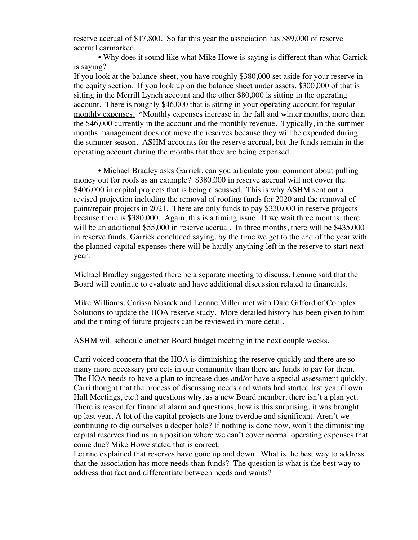reserve accrual of \$17,800. So far this year the association has \$89,000 of reserve accrual earmarked.

• Why does it sound like what Mike Howe is saying is different than what Garrick is saying?

If you look at the balance sheet, you have roughly \$380,000 set aside for your reserve in the equity section. If you look up on the balance sheet under assets, \$300,000 of that is sitting in the Merrill Lynch account and the other \$80,000 is sitting in the operating account. There is roughly \$46,000 that is sitting in your operating account for regular monthly expenses. \*Monthly expenses increase in the fall and winter months, more than the \$46,000 currently in the account and the monthly revenue. Typically, in the summer months management does not move the reserves because they will be expended during the summer season. ASHM accounts for the reserve accrual, but the funds remain in the operating account during the months that they are being expensed.

• Michael Bradley asks Garrick, can you articulate your comment about pulling money out for roofs as an example? \$380,000 in reserve accrual will not cover the \$406,000 in capital projects that is being discussed. This is why ASHM sent out a revised projection including the removal of roofing funds for 2020 and the removal of paint/repair projects in 2021. There are only funds to pay \$330,000 in reserve projects because there is \$380,000. Again, this is a timing issue. If we wait three months, there will be an additional \$55,000 in reserve accrual. In three months, there will be \$435,000 in reserve funds. Garrick concluded saying, by the time we get to the end of the year with the planned capital expenses there will be hardly anything left in the reserve to start next year.

Michael Bradley suggested there be a separate meeting to discuss. Leanne said that the Board will continue to evaluate and have additional discussion related to financials.

Mike Williams, Carissa Nosack and Leanne Miller met with Dale Gifford of Complex Solutions to update the HOA reserve study. More detailed history has been given to him and the timing of future projects can be reviewed in more detail.

ASHM will schedule another Board budget meeting in the next couple weeks.

Carri voiced concern that the HOA is diminishing the reserve quickly and there are so many more necessary projects in our community than there are funds to pay for them. The HOA needs to have a plan to increase dues and/or have a special assessment quickly. Carri thought that the process of discussing needs and wants had started last year (Town Hall Meetings, etc.) and questions why, as a new Board member, there isn't a plan yet. There is reason for financial alarm and questions, how is this surprising, it was brought up last year. A lot of the capital projects are long overdue and significant. Aren't we continuing to dig ourselves a deeper hole? If nothing is done now, won't the diminishing capital reserves find us in a position where we can't cover normal operating expenses that come due? Mike Howe stated that is correct.

Leanne explained that reserves have gone up and down. What is the best way to address that the association has more needs than funds? The question is what is the best way to address that fact and differentiate between needs and wants?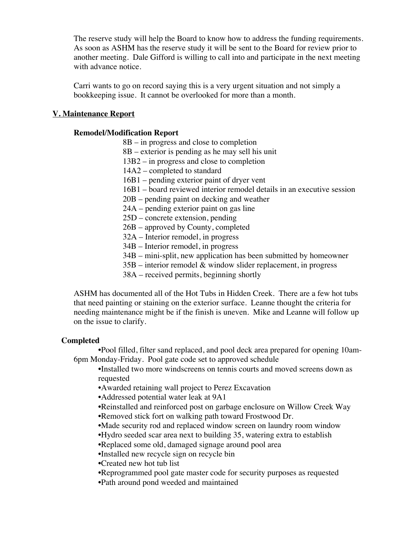The reserve study will help the Board to know how to address the funding requirements. As soon as ASHM has the reserve study it will be sent to the Board for review prior to another meeting. Dale Gifford is willing to call into and participate in the next meeting with advance notice.

Carri wants to go on record saying this is a very urgent situation and not simply a bookkeeping issue. It cannot be overlooked for more than a month.

# **V. Maintenance Report**

# **Remodel/Modification Report**

- 8B in progress and close to completion
- 8B exterior is pending as he may sell his unit
- 13B2 in progress and close to completion
- 14A2 completed to standard
- 16B1 pending exterior paint of dryer vent
- 16B1 board reviewed interior remodel details in an executive session
- 20B pending paint on decking and weather
- 24A pending exterior paint on gas line
- 25D concrete extension, pending
- 26B approved by County, completed
- 32A Interior remodel, in progress
- 34B Interior remodel, in progress
- 34B mini-split, new application has been submitted by homeowner
- $35B$  interior remodel  $&$  window slider replacement, in progress
- 38A received permits, beginning shortly

ASHM has documented all of the Hot Tubs in Hidden Creek. There are a few hot tubs that need painting or staining on the exterior surface. Leanne thought the criteria for needing maintenance might be if the finish is uneven. Mike and Leanne will follow up on the issue to clarify.

#### **Completed**

•Pool filled, filter sand replaced, and pool deck area prepared for opening 10am-6pm Monday-Friday. Pool gate code set to approved schedule

•Installed two more windscreens on tennis courts and moved screens down as requested

- •Awarded retaining wall project to Perez Excavation
- •Addressed potential water leak at 9A1
- •Reinstalled and reinforced post on garbage enclosure on Willow Creek Way
- •Removed stick fort on walking path toward Frostwood Dr.
- •Made security rod and replaced window screen on laundry room window
- •Hydro seeded scar area next to building 35, watering extra to establish
- •Replaced some old, damaged signage around pool area
- •Installed new recycle sign on recycle bin
- •Created new hot tub list
- •Reprogrammed pool gate master code for security purposes as requested
- •Path around pond weeded and maintained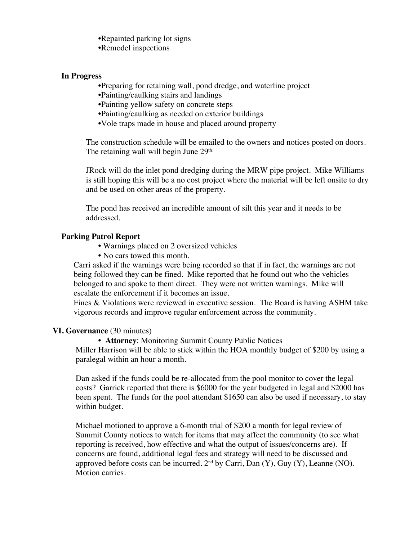•Repainted parking lot signs •Remodel inspections

#### **In Progress**

•Preparing for retaining wall, pond dredge, and waterline project

- •Painting/caulking stairs and landings
- •Painting yellow safety on concrete steps

•Painting/caulking as needed on exterior buildings

•Vole traps made in house and placed around property

The construction schedule will be emailed to the owners and notices posted on doors. The retaining wall will begin June  $29<sup>th</sup>$ .

JRock will do the inlet pond dredging during the MRW pipe project. Mike Williams is still hoping this will be a no cost project where the material will be left onsite to dry and be used on other areas of the property.

The pond has received an incredible amount of silt this year and it needs to be addressed.

# **Parking Patrol Report**

- Warnings placed on 2 oversized vehicles
- No cars towed this month.

Carri asked if the warnings were being recorded so that if in fact, the warnings are not being followed they can be fined. Mike reported that he found out who the vehicles belonged to and spoke to them direct. They were not written warnings. Mike will escalate the enforcement if it becomes an issue.

Fines & Violations were reviewed in executive session. The Board is having ASHM take vigorous records and improve regular enforcement across the community.

# **VI. Governance** (30 minutes)

**• Attorney**: Monitoring Summit County Public Notices

Miller Harrison will be able to stick within the HOA monthly budget of \$200 by using a paralegal within an hour a month.

Dan asked if the funds could be re-allocated from the pool monitor to cover the legal costs? Garrick reported that there is \$6000 for the year budgeted in legal and \$2000 has been spent. The funds for the pool attendant \$1650 can also be used if necessary, to stay within budget.

Michael motioned to approve a 6-month trial of \$200 a month for legal review of Summit County notices to watch for items that may affect the community (to see what reporting is received, how effective and what the output of issues/concerns are). If concerns are found, additional legal fees and strategy will need to be discussed and approved before costs can be incurred.  $2<sup>nd</sup>$  by Carri, Dan  $(Y)$ , Guy  $(Y)$ , Leanne  $(NO)$ . Motion carries.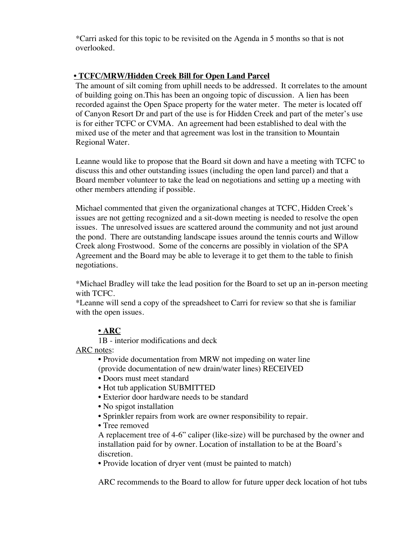\*Carri asked for this topic to be revisited on the Agenda in 5 months so that is not overlooked.

# **• TCFC/MRW/Hidden Creek Bill for Open Land Parcel**

The amount of silt coming from uphill needs to be addressed. It correlates to the amount of building going on.This has been an ongoing topic of discussion. A lien has been recorded against the Open Space property for the water meter. The meter is located off of Canyon Resort Dr and part of the use is for Hidden Creek and part of the meter's use is for either TCFC or CVMA. An agreement had been established to deal with the mixed use of the meter and that agreement was lost in the transition to Mountain Regional Water.

Leanne would like to propose that the Board sit down and have a meeting with TCFC to discuss this and other outstanding issues (including the open land parcel) and that a Board member volunteer to take the lead on negotiations and setting up a meeting with other members attending if possible.

Michael commented that given the organizational changes at TCFC, Hidden Creek's issues are not getting recognized and a sit-down meeting is needed to resolve the open issues. The unresolved issues are scattered around the community and not just around the pond. There are outstanding landscape issues around the tennis courts and Willow Creek along Frostwood. Some of the concerns are possibly in violation of the SPA Agreement and the Board may be able to leverage it to get them to the table to finish negotiations.

\*Michael Bradley will take the lead position for the Board to set up an in-person meeting with TCFC.

\*Leanne will send a copy of the spreadsheet to Carri for review so that she is familiar with the open issues.

# **• ARC**

1B - interior modifications and deck

ARC notes:

• Provide documentation from MRW not impeding on water line (provide documentation of new drain/water lines) RECEIVED

- Doors must meet standard
- Hot tub application SUBMITTED
- Exterior door hardware needs to be standard
- No spigot installation
- Sprinkler repairs from work are owner responsibility to repair.
- Tree removed

A replacement tree of 4-6" caliper (like-size) will be purchased by the owner and installation paid for by owner. Location of installation to be at the Board's discretion.

• Provide location of dryer vent (must be painted to match)

ARC recommends to the Board to allow for future upper deck location of hot tubs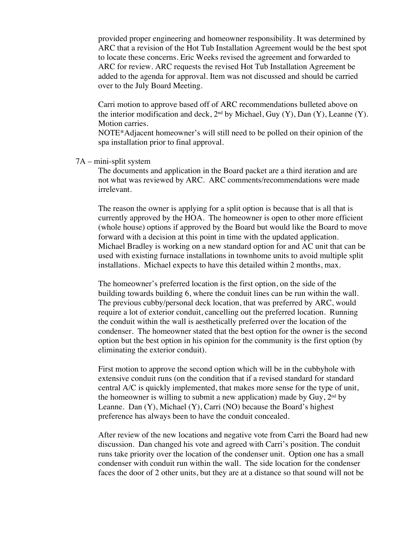provided proper engineering and homeowner responsibility. It was determined by ARC that a revision of the Hot Tub Installation Agreement would be the best spot to locate these concerns. Eric Weeks revised the agreement and forwarded to ARC for review. ARC requests the revised Hot Tub Installation Agreement be added to the agenda for approval. Item was not discussed and should be carried over to the July Board Meeting.

Carri motion to approve based off of ARC recommendations bulleted above on the interior modification and deck,  $2^{nd}$  by Michael, Guy (Y), Dan (Y), Leanne (Y). Motion carries.

NOTE\*Adjacent homeowner's will still need to be polled on their opinion of the spa installation prior to final approval.

#### 7A – mini-split system

The documents and application in the Board packet are a third iteration and are not what was reviewed by ARC. ARC comments/recommendations were made irrelevant.

The reason the owner is applying for a split option is because that is all that is currently approved by the HOA. The homeowner is open to other more efficient (whole house) options if approved by the Board but would like the Board to move forward with a decision at this point in time with the updated application. Michael Bradley is working on a new standard option for and AC unit that can be used with existing furnace installations in townhome units to avoid multiple split installations. Michael expects to have this detailed within 2 months, max.

The homeowner's preferred location is the first option, on the side of the building towards building 6, where the conduit lines can be run within the wall. The previous cubby/personal deck location, that was preferred by ARC, would require a lot of exterior conduit, cancelling out the preferred location. Running the conduit within the wall is aesthetically preferred over the location of the condenser. The homeowner stated that the best option for the owner is the second option but the best option in his opinion for the community is the first option (by eliminating the exterior conduit).

First motion to approve the second option which will be in the cubbyhole with extensive conduit runs (on the condition that if a revised standard for standard central A/C is quickly implemented, that makes more sense for the type of unit, the homeowner is willing to submit a new application) made by Guy,  $2<sup>nd</sup>$  by Leanne. Dan (Y), Michael (Y), Carri (NO) because the Board's highest preference has always been to have the conduit concealed.

After review of the new locations and negative vote from Carri the Board had new discussion. Dan changed his vote and agreed with Carri's position. The conduit runs take priority over the location of the condenser unit. Option one has a small condenser with conduit run within the wall. The side location for the condenser faces the door of 2 other units, but they are at a distance so that sound will not be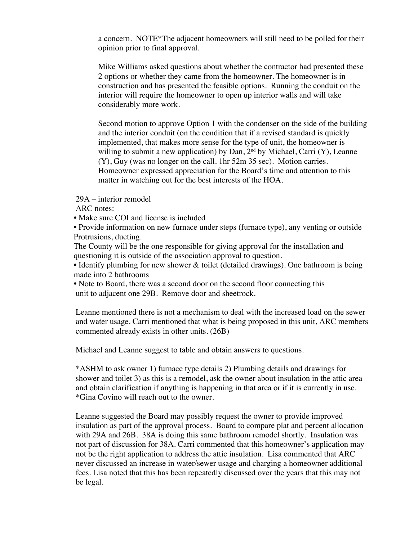a concern. NOTE\*The adjacent homeowners will still need to be polled for their opinion prior to final approval.

Mike Williams asked questions about whether the contractor had presented these 2 options or whether they came from the homeowner. The homeowner is in construction and has presented the feasible options. Running the conduit on the interior will require the homeowner to open up interior walls and will take considerably more work.

Second motion to approve Option 1 with the condenser on the side of the building and the interior conduit (on the condition that if a revised standard is quickly implemented, that makes more sense for the type of unit, the homeowner is willing to submit a new application) by Dan,  $2<sup>nd</sup>$  by Michael, Carri (Y), Leanne (Y), Guy (was no longer on the call. 1hr 52m 35 sec). Motion carries. Homeowner expressed appreciation for the Board's time and attention to this matter in watching out for the best interests of the HOA.

29A – interior remodel

ARC notes:

• Make sure COI and license is included

• Provide information on new furnace under steps (furnace type), any venting or outside Protrusions, ducting.

The County will be the one responsible for giving approval for the installation and questioning it is outside of the association approval to question.

• Identify plumbing for new shower & toilet (detailed drawings). One bathroom is being made into 2 bathrooms

• Note to Board, there was a second door on the second floor connecting this unit to adjacent one 29B. Remove door and sheetrock.

Leanne mentioned there is not a mechanism to deal with the increased load on the sewer and water usage. Carri mentioned that what is being proposed in this unit, ARC members commented already exists in other units. (26B)

Michael and Leanne suggest to table and obtain answers to questions.

\*ASHM to ask owner 1) furnace type details 2) Plumbing details and drawings for shower and toilet 3) as this is a remodel, ask the owner about insulation in the attic area and obtain clarification if anything is happening in that area or if it is currently in use. \*Gina Covino will reach out to the owner.

Leanne suggested the Board may possibly request the owner to provide improved insulation as part of the approval process. Board to compare plat and percent allocation with 29A and 26B. 38A is doing this same bathroom remodel shortly. Insulation was not part of discussion for 38A. Carri commented that this homeowner's application may not be the right application to address the attic insulation. Lisa commented that ARC never discussed an increase in water/sewer usage and charging a homeowner additional fees. Lisa noted that this has been repeatedly discussed over the years that this may not be legal.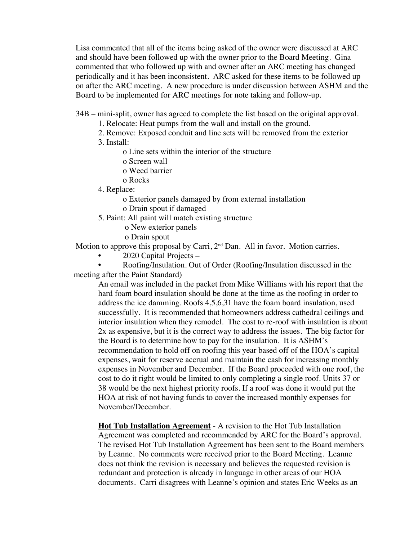Lisa commented that all of the items being asked of the owner were discussed at ARC and should have been followed up with the owner prior to the Board Meeting. Gina commented that who followed up with and owner after an ARC meeting has changed periodically and it has been inconsistent. ARC asked for these items to be followed up on after the ARC meeting. A new procedure is under discussion between ASHM and the Board to be implemented for ARC meetings for note taking and follow-up.

- 34B mini-split, owner has agreed to complete the list based on the original approval.
	- 1. Relocate: Heat pumps from the wall and install on the ground.
	- 2. Remove: Exposed conduit and line sets will be removed from the exterior
	- 3. Install:
		- o Line sets within the interior of the structure
		- o Screen wall
		- o Weed barrier
		- o Rocks
	- 4. Replace:
		- o Exterior panels damaged by from external installation
		- o Drain spout if damaged
	- 5. Paint: All paint will match existing structure
		- o New exterior panels
		- o Drain spout

Motion to approve this proposal by Carri, 2<sup>nd</sup> Dan. All in favor. Motion carries.

• 2020 Capital Projects –

• Roofing/Insulation. Out of Order (Roofing/Insulation discussed in the meeting after the Paint Standard)

An email was included in the packet from Mike Williams with his report that the hard foam board insulation should be done at the time as the roofing in order to address the ice damming. Roofs 4,5,6,31 have the foam board insulation, used successfully. It is recommended that homeowners address cathedral ceilings and interior insulation when they remodel. The cost to re-roof with insulation is about 2x as expensive, but it is the correct way to address the issues. The big factor for the Board is to determine how to pay for the insulation. It is ASHM's recommendation to hold off on roofing this year based off of the HOA's capital expenses, wait for reserve accrual and maintain the cash for increasing monthly expenses in November and December. If the Board proceeded with one roof, the cost to do it right would be limited to only completing a single roof. Units 37 or 38 would be the next highest priority roofs. If a roof was done it would put the HOA at risk of not having funds to cover the increased monthly expenses for November/December.

**Hot Tub Installation Agreement** - A revision to the Hot Tub Installation Agreement was completed and recommended by ARC for the Board's approval. The revised Hot Tub Installation Agreement has been sent to the Board members by Leanne. No comments were received prior to the Board Meeting. Leanne does not think the revision is necessary and believes the requested revision is redundant and protection is already in language in other areas of our HOA documents. Carri disagrees with Leanne's opinion and states Eric Weeks as an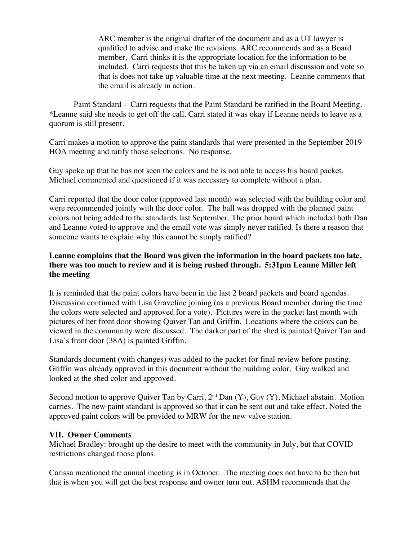ARC member is the original drafter of the document and as a UT lawyer is qualified to advise and make the revisions. ARC recommends and as a Board member, Carri thinks it is the appropriate location for the information to be included. Carri requests that this be taken up via an email discussion and vote so that is does not take up valuable time at the next meeting. Leanne comments that the email is already in action.

Paint Standard - Carri requests that the Paint Standard be ratified in the Board Meeting. \*Leanne said she needs to get off the call. Carri stated it was okay if Leanne needs to leave as a quorum is still present.

Carri makes a motion to approve the paint standards that were presented in the September 2019 HOA meeting and ratify those selections. No response.

Guy spoke up that he has not seen the colors and he is not able to access his board packet. Michael commented and questioned if it was necessary to complete without a plan.

Carri reported that the door color (approved last month) was selected with the building color and were recommended jointly with the door color. The ball was dropped with the planned paint colors not being added to the standards last September. The prior board which included both Dan and Leanne voted to approve and the email vote was simply never ratified. Is there a reason that someone wants to explain why this cannot be simply ratified?

# **Leanne complains that the Board was given the information in the board packets too late, there was too much to review and it is being rushed through. 5:31pm Leanne Miller left the meeting**

It is reminded that the paint colors have been in the last 2 board packets and board agendas. Discussion continued with Lisa Graveline joining (as a previous Board member during the time the colors were selected and approved for a vote). Pictures were in the packet last month with pictures of her front door showing Quiver Tan and Griffin. Locations where the colors can be viewed in the community were discussed. The darker part of the shed is painted Quiver Tan and Lisa's front door (38A) is painted Griffin.

Standards document (with changes) was added to the packet for final review before posting. Griffin was already approved in this document without the building color. Guy walked and looked at the shed color and approved.

Second motion to approve Quiver Tan by Carri,  $2<sup>nd</sup> Dan (Y)$ , Guy  $(Y)$ , Michael abstain. Motion carries. The new paint standard is approved so that it can be sent out and take effect. Noted the approved paint colors will be provided to MRW for the new valve station.

# **VII. Owner Comments**

Michael Bradley: brought up the desire to meet with the community in July, but that COVID restrictions changed those plans.

Carissa mentioned the annual meeting is in October. The meeting does not have to be then but that is when you will get the best response and owner turn out. ASHM recommends that the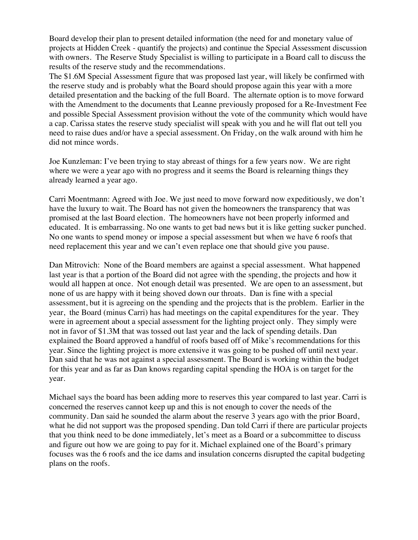Board develop their plan to present detailed information (the need for and monetary value of projects at Hidden Creek - quantify the projects) and continue the Special Assessment discussion with owners. The Reserve Study Specialist is willing to participate in a Board call to discuss the results of the reserve study and the recommendations.

The \$1.6M Special Assessment figure that was proposed last year, will likely be confirmed with the reserve study and is probably what the Board should propose again this year with a more detailed presentation and the backing of the full Board. The alternate option is to move forward with the Amendment to the documents that Leanne previously proposed for a Re-Investment Fee and possible Special Assessment provision without the vote of the community which would have a cap. Carissa states the reserve study specialist will speak with you and he will flat out tell you need to raise dues and/or have a special assessment. On Friday, on the walk around with him he did not mince words.

Joe Kunzleman: I've been trying to stay abreast of things for a few years now. We are right where we were a year ago with no progress and it seems the Board is relearning things they already learned a year ago.

Carri Moentmann: Agreed with Joe. We just need to move forward now expeditiously, we don't have the luxury to wait. The Board has not given the homeowners the transparency that was promised at the last Board election. The homeowners have not been properly informed and educated. It is embarrassing. No one wants to get bad news but it is like getting sucker punched. No one wants to spend money or impose a special assessment but when we have 6 roofs that need replacement this year and we can't even replace one that should give you pause.

Dan Mitrovich: None of the Board members are against a special assessment. What happened last year is that a portion of the Board did not agree with the spending, the projects and how it would all happen at once. Not enough detail was presented. We are open to an assessment, but none of us are happy with it being shoved down our throats. Dan is fine with a special assessment, but it is agreeing on the spending and the projects that is the problem. Earlier in the year, the Board (minus Carri) has had meetings on the capital expenditures for the year. They were in agreement about a special assessment for the lighting project only. They simply were not in favor of \$1.3M that was tossed out last year and the lack of spending details. Dan explained the Board approved a handful of roofs based off of Mike's recommendations for this year. Since the lighting project is more extensive it was going to be pushed off until next year. Dan said that he was not against a special assessment. The Board is working within the budget for this year and as far as Dan knows regarding capital spending the HOA is on target for the year.

Michael says the board has been adding more to reserves this year compared to last year. Carri is concerned the reserves cannot keep up and this is not enough to cover the needs of the community. Dan said he sounded the alarm about the reserve 3 years ago with the prior Board, what he did not support was the proposed spending. Dan told Carri if there are particular projects that you think need to be done immediately, let's meet as a Board or a subcommittee to discuss and figure out how we are going to pay for it. Michael explained one of the Board's primary focuses was the 6 roofs and the ice dams and insulation concerns disrupted the capital budgeting plans on the roofs.